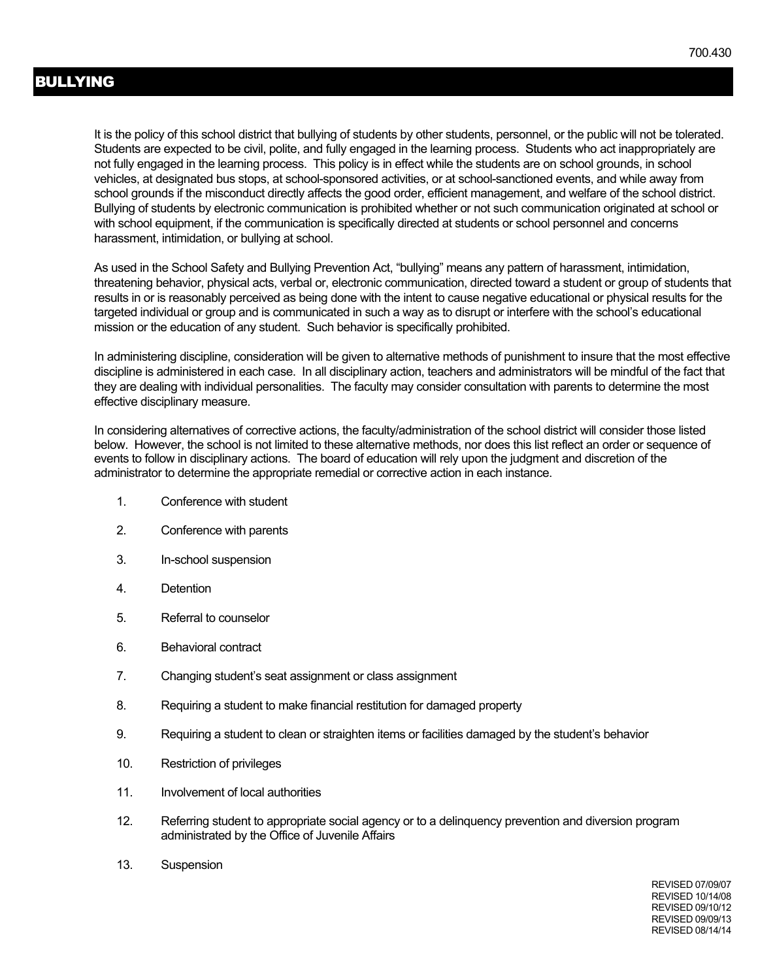It is the policy of this school district that bullying of students by other students, personnel, or the public will not be tolerated. Students are expected to be civil, polite, and fully engaged in the learning process. Students who act inappropriately are not fully engaged in the learning process. This policy is in effect while the students are on school grounds, in school vehicles, at designated bus stops, at school-sponsored activities, or at school-sanctioned events, and while away from school grounds if the misconduct directly affects the good order, efficient management, and welfare of the school district. Bullying of students by electronic communication is prohibited whether or not such communication originated at school or with school equipment, if the communication is specifically directed at students or school personnel and concerns harassment, intimidation, or bullying at school.

As used in the School Safety and Bullying Prevention Act, "bullying" means any pattern of harassment, intimidation, threatening behavior, physical acts, verbal or, electronic communication, directed toward a student or group of students that results in or is reasonably perceived as being done with the intent to cause negative educational or physical results for the targeted individual or group and is communicated in such a way as to disrupt or interfere with the school's educational mission or the education of any student. Such behavior is specifically prohibited.

In administering discipline, consideration will be given to alternative methods of punishment to insure that the most effective discipline is administered in each case. In all disciplinary action, teachers and administrators will be mindful of the fact that they are dealing with individual personalities. The faculty may consider consultation with parents to determine the most effective disciplinary measure.

In considering alternatives of corrective actions, the faculty/administration of the school district will consider those listed below. However, the school is not limited to these alternative methods, nor does this list reflect an order or sequence of events to follow in disciplinary actions. The board of education will rely upon the judgment and discretion of the administrator to determine the appropriate remedial or corrective action in each instance.

- 1. Conference with student
- 2. Conference with parents
- 3. In-school suspension
- 4. Detention
- 5. Referral to counselor
- 6. Behavioral contract
- 7. Changing student's seat assignment or class assignment
- 8. Requiring a student to make financial restitution for damaged property
- 9. Requiring a student to clean or straighten items or facilities damaged by the student's behavior
- 10. Restriction of privileges
- 11. Involvement of local authorities
- 12. Referring student to appropriate social agency or to a delinquency prevention and diversion program administrated by the Office of Juvenile Affairs
- 13. Suspension